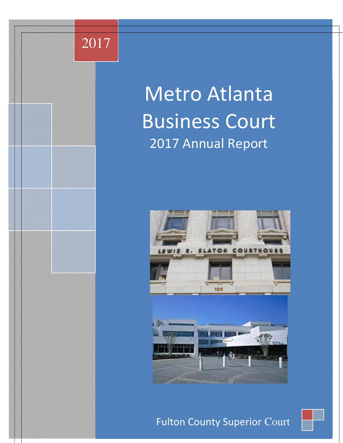## 2017

# Metro Atlanta Business Court 2017 Annual Report





Fulton County Superior Court

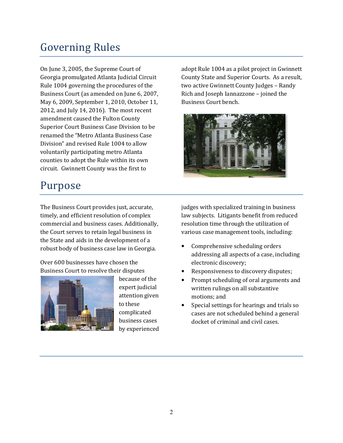## Governing Rules

On June 3, 2005, the Supreme Court of Georgia promulgated Atlanta Judicial Circuit Rule 1004 governing the procedures of the Business Court (as amended on June 6, 2007, May 6, 2009, September 1, 2010, October 11, 2012, and July 14, 2016). The most recent amendment caused the Fulton County Superior Court Business Case Division to be renamed the "Metro Atlanta Business Case Division" and revised Rule 1004 to allow voluntarily participating metro Atlanta counties to adopt the Rule within its own circuit. Gwinnett County was the first to

## Purpose

The Business Court provides just, accurate, timely, and efficient resolution of complex commercial and business cases. Additionally, the Court serves to retain legal business in the State and aids in the development of a robust body of business case law in Georgia.

Over 600 businesses have chosen the Business Court to resolve their disputes



because of the expert judicial attention given to these complicated business cases by experienced adopt Rule 1004 as a pilot project in Gwinnett County State and Superior Courts. As a result, two active Gwinnett County Judges – Randy Rich and Joseph Iannazzone – joined the Business Court bench.



judges with specialized training in business law subjects. Litigants benefit from reduced resolution time through the utilization of various case management tools, including:

- Comprehensive scheduling orders addressing all aspects of a case, including electronic discovery;
- Responsiveness to discovery disputes;
- Prompt scheduling of oral arguments and written rulings on all substantive motions; and
- Special settings for hearings and trials so cases are not scheduled behind a general docket of criminal and civil cases.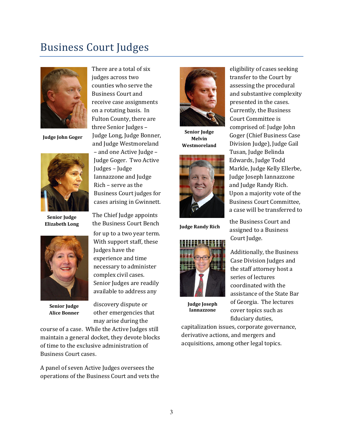### Business Court Judges



Judge John Goger



Senior **Judge** Elizabeth Long



Senior Judge Alice Bonner

There are a total of six judges across two counties who serve the Business Court and receive case assignments on a rotating basis. In Fulton County, there are three Senior Judges – Judge Long, Judge Bonner, and Judge Westmoreland – and one Active Judge – Judge Goger. Two Active Judges – Judge Iannazzone and Judge Rich – serve as the Business Court judges for cases arising in Gwinnett.

The Chief Judge appoints the Business Court Bench for up to a two year term. With support staff, these Judges have the experience and time necessary to administer complex civil cases. Senior Judges are readily available to address any

discovery dispute or other emergencies that may arise during the

course of a case. While the Active Judges still maintain a general docket, they devote blocks of time to the exclusive administration of Business Court cases.

A panel of seven Active Judges oversees the operations of the Business Court and vets the



Senior Judge Melvin Westmoreland



Judge Randy Rich



Judge Joseph Iannazzone

eligibility of cases seeking transfer to the Court by assessing the procedural and substantive complexity presented in the cases. Currently, the Business Court Committee is comprised of: Judge John Goger (Chief Business Case Division Judge), Judge Gail Tusan, Judge Belinda Edwards, Judge Todd Markle, Judge Kelly Ellerbe, Judge Joseph Iannazzone and Judge Randy Rich. Upon a majority vote of the Business Court Committee, a case will be transferred to

the Business Court and assigned to a Business Court Judge.

Additionally, the Business Case Division Judges and the staff attorney host a series of lectures coordinated with the assistance of the State Bar of Georgia. The lectures cover topics such as fiduciary duties,

capitalization issues, corporate governance, derivative actions, and mergers and acquisitions, among other legal topics.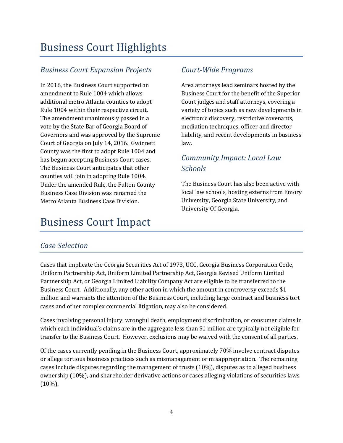## **Business Court Highlights**

#### Business Court Expansion Projects

In 2016, the Business Court supported an amendment to Rule 1004 which allows additional metro Atlanta counties to adopt Rule 1004 within their respective circuit. The amendment unanimously passed in a vote by the State Bar of Georgia Board of Governors and was approved by the Supreme Court of Georgia on July 14, 2016. Gwinnett County was the first to adopt Rule 1004 and has begun accepting Business Court cases. The Business Court anticipates that other counties will join in adopting Rule 1004. Under the amended Rule, the Fulton County Business Case Division was renamed the Metro Atlanta Business Case Division.

## **Business Court Impact**

#### Court-Wide Programs

Area attorneys lead seminars hosted by the Business Court for the benefit of the Superior Court judges and staff attorneys, covering a variety of topics such as new developments in electronic discovery, restrictive covenants, mediation techniques, officer and director liability, and recent developments in business law. 

#### Community Impact: Local Law **Schools**

The Business Court has also been active with local law schools, hosting externs from Emory University, Georgia State University, and University Of Georgia.

#### Case Selection

Cases that implicate the Georgia Securities Act of 1973, UCC, Georgia Business Corporation Code, Uniform Partnership Act, Uniform Limited Partnership Act, Georgia Revised Uniform Limited Partnership Act, or Georgia Limited Liability Company Act are eligible to be transferred to the Business Court. Additionally, any other action in which the amount in controversy exceeds \$1 million and warrants the attention of the Business Court, including large contract and business tort cases and other complex commercial litigation, may also be considered.

Cases involving personal injury, wrongful death, employment discrimination, or consumer claims in which each individual's claims are in the aggregate less than \$1 million are typically not eligible for transfer to the Business Court. However, exclusions may be waived with the consent of all parties.

Of the cases currently pending in the Business Court, approximately 70% involve contract disputes or allege tortious business practices such as mismanagement or misappropriation. The remaining cases include disputes regarding the management of trusts  $(10\%)$ , disputes as to alleged business ownership (10%), and shareholder derivative actions or cases alleging violations of securities laws (10%).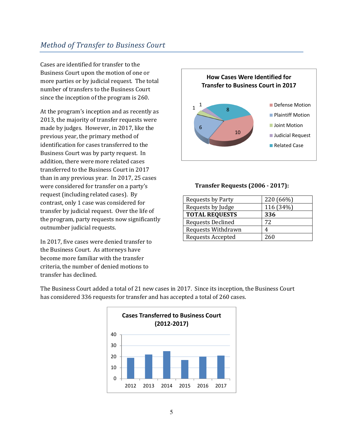#### Method of Transfer to Business Court

Cases are identified for transfer to the Business Court upon the motion of one or more parties or by judicial request. The total number of transfers to the Business Court since the inception of the program is 260.

At the program's inception and as recently as 2013, the majority of transfer requests were made by judges. However, in 2017, like the previous year, the primary method of identification for cases transferred to the Business Court was by party request. In addition, there were more related cases transferred to the Business Court in 2017 than in any previous year. In 2017, 25 cases were considered for transfer on a party's request (including related cases). By contrast, only 1 case was considered for transfer by judicial request. Over the life of the program, party requests now significantly outnumber judicial requests.

In 2017, five cases were denied transfer to the Business Court. As attorneys have become more familiar with the transfer criteria, the number of denied motions to transfer has declined.



#### Transfer Requests (2006 - 2017):

| <b>Requests by Party</b> | 220 (66%) |
|--------------------------|-----------|
| Requests by Judge        | 116 (34%) |
| <b>TOTAL REQUESTS</b>    | 336       |
| <b>Requests Declined</b> | 72        |
| Requests Withdrawn       |           |
| <b>Requests Accepted</b> | 260       |

The Business Court added a total of 21 new cases in 2017. Since its inception, the Business Court has considered 336 requests for transfer and has accepted a total of 260 cases.

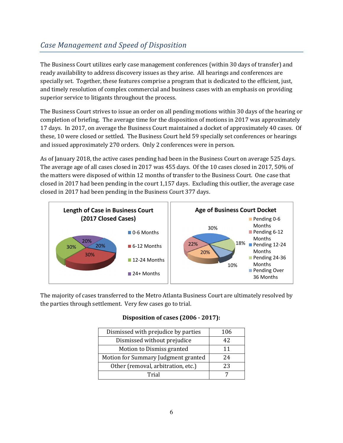#### Case Management and Speed of Disposition

The Business Court utilizes early case management conferences (within 30 days of transfer) and ready availability to address discovery issues as they arise. All hearings and conferences are specially set. Together, these features comprise a program that is dedicated to the efficient, just, and timely resolution of complex commercial and business cases with an emphasis on providing superior service to litigants throughout the process.

The Business Court strives to issue an order on all pending motions within 30 days of the hearing or completion of briefing. The average time for the disposition of motions in 2017 was approximately 17 days. In 2017, on average the Business Court maintained a docket of approximately 40 cases. Of these, 10 were closed or settled. The Business Court held 59 specially set conferences or hearings and issued approximately 270 orders. Only 2 conferences were in person.

As of January 2018, the active cases pending had been in the Business Court on average 525 days. The average age of all cases closed in 2017 was 455 days. Of the 10 cases closed in 2017, 50% of the matters were disposed of within 12 months of transfer to the Business Court. One case that closed in 2017 had been pending in the court 1,157 days. Excluding this outlier, the average case closed in 2017 had been pending in the Business Court 377 days.



The majority of cases transferred to the Metro Atlanta Business Court are ultimately resolved by the parties through settlement. Very few cases go to trial.

#### Disposition of cases (2006 - 2017):

| Dismissed with prejudice by parties | 106 |
|-------------------------------------|-----|
| Dismissed without prejudice         | 42  |
| Motion to Dismiss granted           | 11  |
| Motion for Summary Judgment granted | 24  |
| Other (removal, arbitration, etc.)  | 23  |
| Trial                               |     |